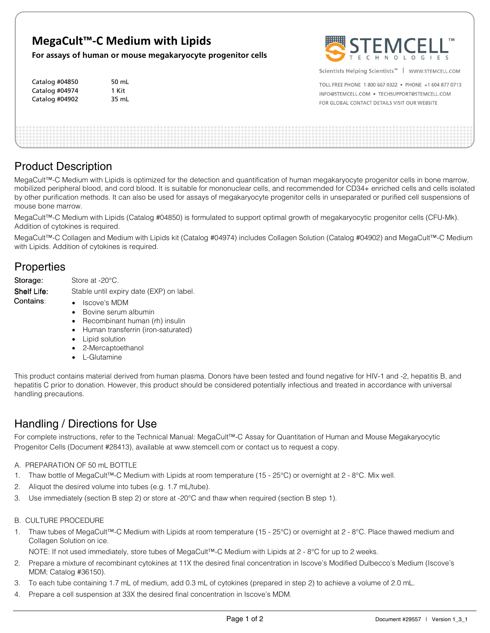## **MegaCult™-C Medium with Lipids**

50 mL 1 Kit 35 mL

**For assays of human or mouse megakaryocyte progenitor cells** 

| Catalog #04850 |  |
|----------------|--|
| Catalog #04974 |  |
| Catalog #04902 |  |



Scientists Helping Scientists<sup>™</sup> | WWW.STEMCELL.COM

TOLL FREE PHONE 1 800 667 0322 . PHONE +1 604 877 0713 INFO@STEMCELL.COM . TECHSUPPORT@STEMCELL.COM FOR GLOBAL CONTACT DETAILS VISIT OUR WEBSITE

## Product Description

MegaCult™-C Medium with Lipids is optimized for the detection and quantification of human megakaryocyte progenitor cells in bone marrow, mobilized peripheral blood, and cord blood. It is suitable for mononuclear cells, and recommended for CD34+ enriched cells and cells isolated by other purification methods. It can also be used for assays of megakaryocyte progenitor cells in unseparated or purified cell suspensions of mouse bone marrow.

MegaCult™-C Medium with Lipids (Catalog #04850) is formulated to support optimal growth of megakaryocytic progenitor cells (CFU-Mk). Addition of cytokines is required.

MegaCult™-C Collagen and Medium with Lipids kit (Catalog #04974) includes Collagen Solution (Catalog #04902) and MegaCult™-C Medium with Lipids. Addition of cytokines is required.

## Properties

Storage: Store at -20°C.

Contains:

Shelf Life: Stable until expiry date (EXP) on label.

- Iscove's MDM
- Bovine serum albumin
- Recombinant human (rh) insulin
- Human transferrin (iron-saturated)
- Lipid solution
- 2-Mercaptoethanol
- L-Glutamine

This product contains material derived from human plasma. Donors have been tested and found negative for HIV-1 and -2, hepatitis B, and hepatitis C prior to donation. However, this product should be considered potentially infectious and treated in accordance with universal handling precautions.

## Handling / Directions for Use

For complete instructions, refer to the Technical Manual: MegaCult™-C Assay for Quantitation of Human and Mouse Megakaryocytic Progenitor Cells (Document #28413), available at www.stemcell.com or contact us to request a copy.

- A. PREPARATION OF 50 mL BOTTLE
- 1. Thaw bottle of MegaCult™-C Medium with Lipids at room temperature (15 25°C) or overnight at 2 8°C. Mix well.
- 2. Aliquot the desired volume into tubes (e.g. 1.7 mL/tube).
- 3. Use immediately (section B step 2) or store at -20°C and thaw when required (section B step 1).
- B. CULTURE PROCEDURE
- 1. Thaw tubes of MegaCult™-C Medium with Lipids at room temperature (15 25°C) or overnight at 2 8°C. Place thawed medium and Collagen Solution on ice.

NOTE: If not used immediately, store tubes of MegaCult™-C Medium with Lipids at 2 - 8°C for up to 2 weeks.

- 2. Prepare a mixture of recombinant cytokines at 11X the desired final concentration in Iscove's Modified Dulbecco's Medium (Iscove's MDM; Catalog #36150).
- 3. To each tube containing 1.7 mL of medium, add 0.3 mL of cytokines (prepared in step 2) to achieve a volume of 2.0 mL.
- 4. Prepare a cell suspension at 33X the desired final concentration in Iscove's MDM.